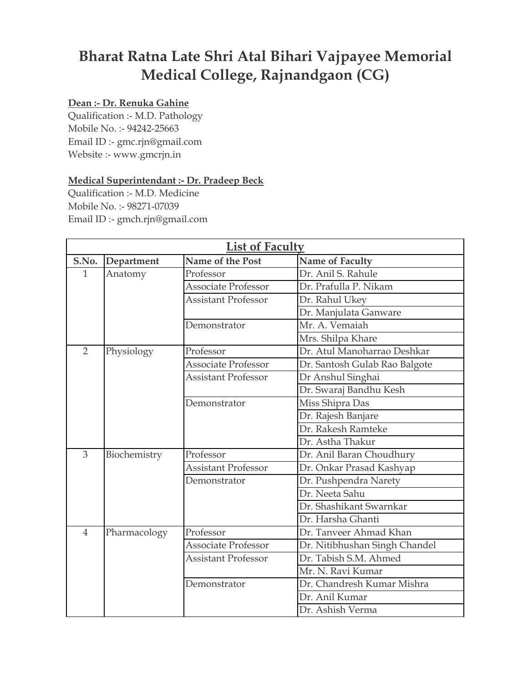## **Bharat Ratna Late Shri Atal Bihari Vajpayee Memorial Medical College, Rajnandgaon (CG)**

## **Dean :- Dr. Renuka Gahine**

Qualification :- M.D. Pathology Mobile No. :- 94242-25663 Email ID :- gmc.rjn@gmail.com Website :- www.gmcrjn.in

## **Medical Superintendant :- Dr. Pradeep Beck**

Qualification :- M.D. Medicine Mobile No. :- 98271-07039 Email ID :- gmch.rjn@gmail.com

| <b>List of Faculty</b> |              |                            |                               |  |
|------------------------|--------------|----------------------------|-------------------------------|--|
| S.No.                  | Department   | Name of the Post           | <b>Name of Faculty</b>        |  |
| 1                      | Anatomy      | Professor                  | Dr. Anil S. Rahule            |  |
|                        |              | Associate Professor        | Dr. Prafulla P. Nikam         |  |
|                        |              | <b>Assistant Professor</b> | Dr. Rahul Ukey                |  |
|                        |              |                            | Dr. Manjulata Ganware         |  |
|                        |              | Demonstrator               | Mr. A. Vemaiah                |  |
|                        |              |                            | Mrs. Shilpa Khare             |  |
| $\overline{2}$         | Physiology   | Professor                  | Dr. Atul Manoharrao Deshkar   |  |
|                        |              | <b>Associate Professor</b> | Dr. Santosh Gulab Rao Balgote |  |
|                        |              | <b>Assistant Professor</b> | Dr Anshul Singhai             |  |
|                        |              |                            | Dr. Swaraj Bandhu Kesh        |  |
|                        |              | Demonstrator               | Miss Shipra Das               |  |
|                        |              |                            | Dr. Rajesh Banjare            |  |
|                        |              |                            | Dr. Rakesh Ramteke            |  |
|                        |              |                            | Dr. Astha Thakur              |  |
| 3                      | Biochemistry | Professor                  | Dr. Anil Baran Choudhury      |  |
|                        |              | Assistant Professor        | Dr. Onkar Prasad Kashyap      |  |
|                        |              | Demonstrator               | Dr. Pushpendra Narety         |  |
|                        |              |                            | Dr. Neeta Sahu                |  |
|                        |              |                            | Dr. Shashikant Swarnkar       |  |
|                        |              |                            | Dr. Harsha Ghanti             |  |
| $\overline{4}$         | Pharmacology | Professor                  | Dr. Tanveer Ahmad Khan        |  |
|                        |              | <b>Associate Professor</b> | Dr. Nitibhushan Singh Chandel |  |
|                        |              | <b>Assistant Professor</b> | Dr. Tabish S.M. Ahmed         |  |
|                        |              |                            | Mr. N. Ravi Kumar             |  |
|                        |              | Demonstrator               | Dr. Chandresh Kumar Mishra    |  |
|                        |              |                            | Dr. Anil Kumar                |  |
|                        |              |                            | Dr. Ashish Verma              |  |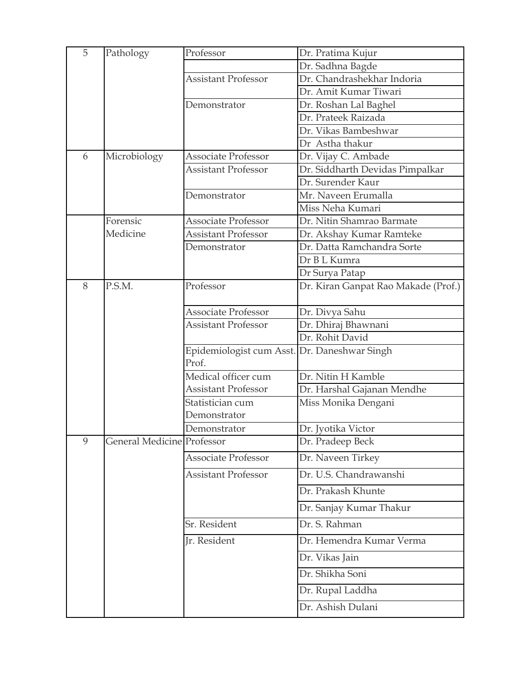| 5 | Pathology                         | Professor                                             | Dr. Pratima Kujur                   |
|---|-----------------------------------|-------------------------------------------------------|-------------------------------------|
|   |                                   |                                                       | Dr. Sadhna Bagde                    |
|   |                                   | <b>Assistant Professor</b>                            | Dr. Chandrashekhar Indoria          |
|   |                                   |                                                       | Dr. Amit Kumar Tiwari               |
|   |                                   | Demonstrator                                          | Dr. Roshan Lal Baghel               |
|   |                                   |                                                       | Dr. Prateek Raizada                 |
|   |                                   |                                                       | Dr. Vikas Bambeshwar                |
|   |                                   |                                                       | Dr Astha thakur                     |
| 6 | Microbiology                      | Associate Professor                                   | Dr. Vijay C. Ambade                 |
|   |                                   | <b>Assistant Professor</b>                            | Dr. Siddharth Devidas Pimpalkar     |
|   |                                   |                                                       | Dr. Surender Kaur                   |
|   |                                   | Demonstrator                                          | Mr. Naveen Erumalla                 |
|   |                                   |                                                       | Miss Neha Kumari                    |
|   | Forensic                          | <b>Associate Professor</b>                            | Dr. Nitin Shamrao Barmate           |
|   | Medicine                          | <b>Assistant Professor</b>                            | Dr. Akshay Kumar Ramteke            |
|   |                                   | Demonstrator                                          | Dr. Datta Ramchandra Sorte          |
|   |                                   |                                                       | Dr B L Kumra                        |
|   |                                   |                                                       | Dr Surya Patap                      |
| 8 | P.S.M.                            | Professor                                             | Dr. Kiran Ganpat Rao Makade (Prof.) |
|   |                                   | <b>Associate Professor</b>                            | Dr. Divya Sahu                      |
|   |                                   | <b>Assistant Professor</b>                            | Dr. Dhiraj Bhawnani                 |
|   |                                   |                                                       | Dr. Rohit David                     |
|   |                                   | Epidemiologist cum Asst. Dr. Daneshwar Singh<br>Prof. |                                     |
|   |                                   | Medical officer cum                                   | Dr. Nitin H Kamble                  |
|   |                                   | <b>Assistant Professor</b>                            | Dr. Harshal Gajanan Mendhe          |
|   |                                   | Statistician cum<br>Demonstrator                      | Miss Monika Dengani                 |
|   |                                   | Demonstrator                                          | Dr. Jyotika Victor                  |
| 9 | <b>General Medicine Professor</b> |                                                       | Dr. Pradeep Beck                    |
|   |                                   | Associate Professor                                   | Dr. Naveen Tirkey                   |
|   |                                   | <b>Assistant Professor</b>                            | Dr. U.S. Chandrawanshi              |
|   |                                   |                                                       | Dr. Prakash Khunte                  |
|   |                                   |                                                       | Dr. Sanjay Kumar Thakur             |
|   |                                   | Sr. Resident                                          | Dr. S. Rahman                       |
|   |                                   | Jr. Resident                                          | Dr. Hemendra Kumar Verma            |
|   |                                   |                                                       | Dr. Vikas Jain                      |
|   |                                   |                                                       | Dr. Shikha Soni                     |
|   |                                   |                                                       | Dr. Rupal Laddha                    |
|   |                                   |                                                       | Dr. Ashish Dulani                   |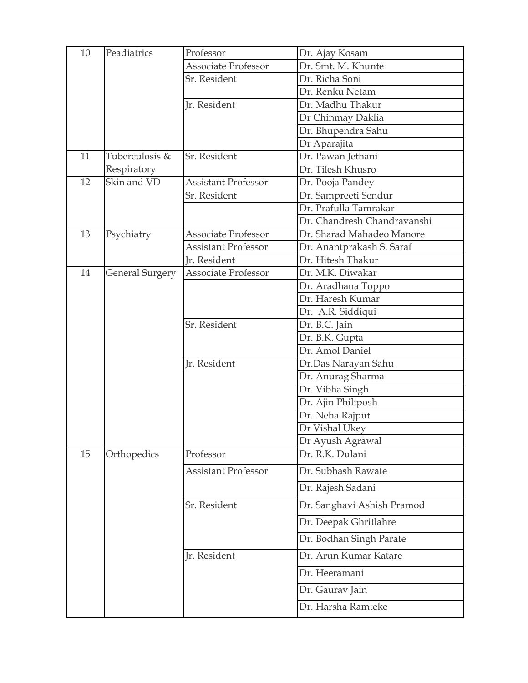| 10 | Peadiatrics     | Professor                  | Dr. Ajay Kosam                      |
|----|-----------------|----------------------------|-------------------------------------|
|    |                 | Associate Professor        | Dr. Smt. M. Khunte                  |
|    |                 | Sr. Resident               | Dr. Richa Soni                      |
|    |                 |                            | Dr. Renku Netam                     |
|    |                 | Jr. Resident               | Dr. Madhu Thakur                    |
|    |                 |                            | Dr Chinmay Daklia                   |
|    |                 |                            | Dr. Bhupendra Sahu                  |
|    |                 |                            | Dr Aparajita                        |
| 11 | Tuberculosis &  | Sr. Resident               | Dr. Pawan Jethani                   |
|    | Respiratory     |                            | Dr. Tilesh Khusro                   |
| 12 | Skin and VD     | <b>Assistant Professor</b> | Dr. Pooja Pandey                    |
|    |                 | Sr. Resident               | Dr. Sampreeti Sendur                |
|    |                 |                            | Dr. Prafulla Tamrakar               |
|    |                 |                            | Dr. Chandresh Chandravanshi         |
| 13 | Psychiatry      | <b>Associate Professor</b> | Dr. Sharad Mahadeo Manore           |
|    |                 | <b>Assistant Professor</b> | Dr. Anantprakash S. Saraf           |
|    |                 | Ir. Resident               | Dr. Hitesh Thakur                   |
| 14 | General Surgery | Associate Professor        | Dr. M.K. Diwakar                    |
|    |                 |                            | Dr. Aradhana Toppo                  |
|    |                 |                            | Dr. Haresh Kumar                    |
|    |                 |                            | Dr. A.R. Siddiqui                   |
|    |                 | Sr. Resident               | Dr. B.C. Jain                       |
|    |                 |                            | Dr. B.K. Gupta                      |
|    |                 |                            | Dr. Amol Daniel                     |
|    |                 | Jr. Resident               | Dr.Das Narayan Sahu                 |
|    |                 |                            | Dr. Anurag Sharma                   |
|    |                 |                            | Dr. Vibha Singh                     |
|    |                 |                            | Dr. Ajin Philiposh                  |
|    |                 |                            | Dr. Neha Rajput<br>Dr Vishal Ukev   |
|    |                 |                            |                                     |
| 15 | Orthopedics     | Professor                  | Dr Ayush Agrawal<br>Dr. R.K. Dulani |
|    |                 |                            |                                     |
|    |                 | <b>Assistant Professor</b> | Dr. Subhash Rawate                  |
|    |                 |                            | Dr. Rajesh Sadani                   |
|    |                 | Sr. Resident               | Dr. Sanghavi Ashish Pramod          |
|    |                 |                            | Dr. Deepak Ghritlahre               |
|    |                 |                            | Dr. Bodhan Singh Parate             |
|    |                 | Ir. Resident               | Dr. Arun Kumar Katare               |
|    |                 |                            | Dr. Heeramani                       |
|    |                 |                            | Dr. Gaurav Jain                     |
|    |                 |                            | Dr. Harsha Ramteke                  |